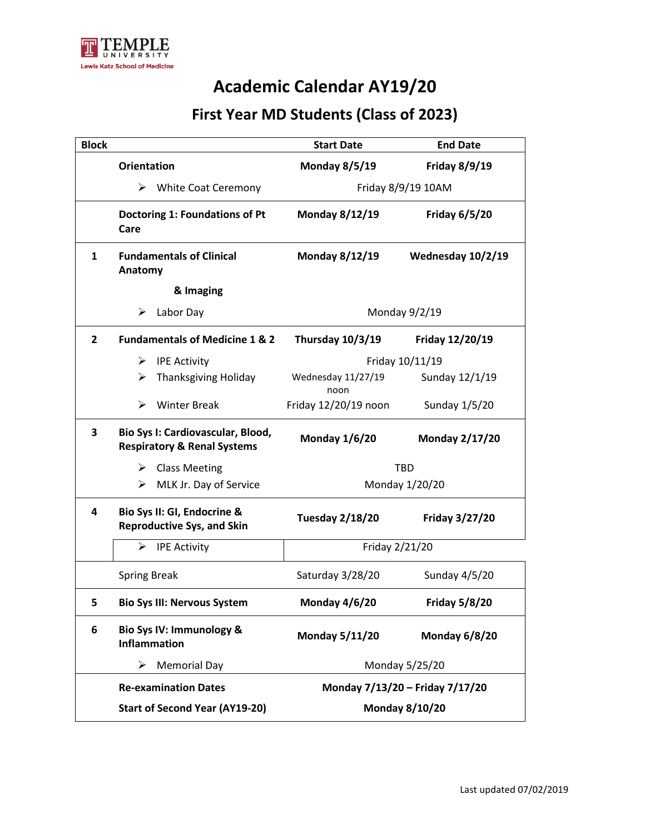

### **First Year MD Students (Class of 2023)**

| <b>Block</b> |                                                                             | <b>Start Date</b>               | <b>End Date</b>       |
|--------------|-----------------------------------------------------------------------------|---------------------------------|-----------------------|
|              | <b>Orientation</b>                                                          | <b>Monday 8/5/19</b>            | <b>Friday 8/9/19</b>  |
|              | <b>White Coat Ceremony</b><br>➤                                             | Friday 8/9/19 10AM              |                       |
|              | Doctoring 1: Foundations of Pt<br>Care                                      | Monday 8/12/19                  | <b>Friday 6/5/20</b>  |
| $\mathbf{1}$ | <b>Fundamentals of Clinical</b><br>Anatomy                                  | <b>Monday 8/12/19</b>           | Wednesday 10/2/19     |
|              | & Imaging                                                                   |                                 |                       |
|              | ➤<br>Labor Day                                                              | Monday 9/2/19                   |                       |
| $\mathbf{2}$ | <b>Fundamentals of Medicine 1 &amp; 2</b>                                   | <b>Thursday 10/3/19</b>         | Friday 12/20/19       |
|              | <b>IPE Activity</b><br>➤                                                    | Friday 10/11/19                 |                       |
|              | <b>Thanksgiving Holiday</b><br>➤                                            | Wednesday 11/27/19<br>noon      | Sunday 12/1/19        |
|              | <b>Winter Break</b><br>⋗                                                    | Friday 12/20/19 noon            | Sunday 1/5/20         |
| 3            | Bio Sys I: Cardiovascular, Blood,<br><b>Respiratory &amp; Renal Systems</b> | <b>Monday 1/6/20</b>            | <b>Monday 2/17/20</b> |
|              | <b>Class Meeting</b><br>➤                                                   | <b>TBD</b>                      |                       |
|              | MLK Jr. Day of Service<br>≻                                                 | Monday 1/20/20                  |                       |
| 4            | Bio Sys II: GI, Endocrine &<br><b>Reproductive Sys, and Skin</b>            | <b>Tuesday 2/18/20</b>          | Friday 3/27/20        |
|              | ⋗<br><b>IPE Activity</b>                                                    | Friday 2/21/20                  |                       |
|              | <b>Spring Break</b>                                                         | Saturday 3/28/20                | Sunday 4/5/20         |
| 5            | <b>Bio Sys III: Nervous System</b>                                          | <b>Monday 4/6/20</b>            | <b>Friday 5/8/20</b>  |
| 6            | Bio Sys IV: Immunology &<br><b>Inflammation</b>                             | <b>Monday 5/11/20</b>           | <b>Monday 6/8/20</b>  |
|              | ➤<br><b>Memorial Day</b>                                                    | Monday 5/25/20                  |                       |
|              | <b>Re-examination Dates</b>                                                 | Monday 7/13/20 - Friday 7/17/20 |                       |
|              | <b>Start of Second Year (AY19-20)</b>                                       | <b>Monday 8/10/20</b>           |                       |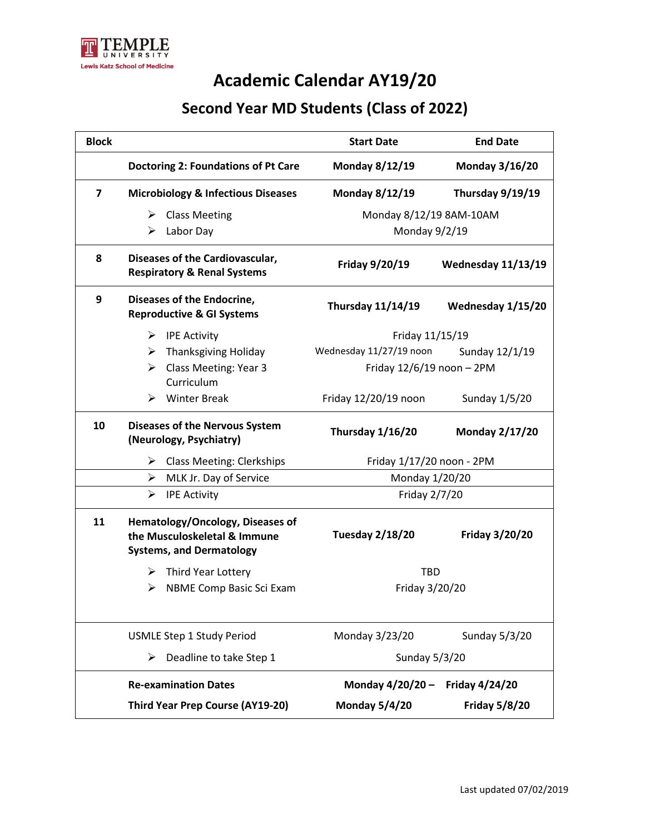

### **Second Year MD Students (Class of 2022)**

| <b>Block</b>   |                                                                                                     | <b>Start Date</b>           | <b>End Date</b>       |
|----------------|-----------------------------------------------------------------------------------------------------|-----------------------------|-----------------------|
|                | <b>Doctoring 2: Foundations of Pt Care</b>                                                          | Monday 8/12/19              | <b>Monday 3/16/20</b> |
| $\overline{ }$ | <b>Microbiology &amp; Infectious Diseases</b>                                                       | Monday 8/12/19              | Thursday 9/19/19      |
|                | <b>Class Meeting</b><br>➤                                                                           | Monday 8/12/19 8AM-10AM     |                       |
|                | ⋗<br>Labor Day                                                                                      | Monday 9/2/19               |                       |
| 8              | Diseases of the Cardiovascular,<br><b>Respiratory &amp; Renal Systems</b>                           | Friday 9/20/19              | Wednesday 11/13/19    |
| 9              | Diseases of the Endocrine,<br><b>Reproductive &amp; GI Systems</b>                                  | Thursday 11/14/19           | Wednesday 1/15/20     |
|                | ➤<br><b>IPE Activity</b>                                                                            | Friday 11/15/19             |                       |
|                | <b>Thanksgiving Holiday</b><br>➤                                                                    | Wednesday 11/27/19 noon     | Sunday 12/1/19        |
|                | Class Meeting: Year 3<br>➤<br>Curriculum                                                            | Friday $12/6/19$ noon - 2PM |                       |
|                | <b>Winter Break</b><br>➤                                                                            | Friday 12/20/19 noon        | Sunday 1/5/20         |
| 10             | <b>Diseases of the Nervous System</b><br>(Neurology, Psychiatry)                                    | Thursday 1/16/20            | <b>Monday 2/17/20</b> |
|                | <b>Class Meeting: Clerkships</b><br>➤                                                               | Friday 1/17/20 noon - 2PM   |                       |
|                | ➤<br>MLK Jr. Day of Service                                                                         | Monday 1/20/20              |                       |
|                | $\blacktriangleright$<br><b>IPE Activity</b>                                                        | Friday 2/7/20               |                       |
| 11             | Hematology/Oncology, Diseases of<br>the Musculoskeletal & Immune<br><b>Systems, and Dermatology</b> | <b>Tuesday 2/18/20</b>      | <b>Friday 3/20/20</b> |
|                | ➤<br>Third Year Lottery                                                                             | <b>TBD</b>                  |                       |
|                | NBME Comp Basic Sci Exam<br>⋗                                                                       | Friday 3/20/20              |                       |
|                |                                                                                                     |                             |                       |
|                | <b>USMLE Step 1 Study Period</b>                                                                    | Monday 3/23/20              | Sunday 5/3/20         |
|                | Deadline to take Step 1<br>➤                                                                        | Sunday 5/3/20               |                       |
|                | <b>Re-examination Dates</b>                                                                         | Monday 4/20/20 -            | <b>Friday 4/24/20</b> |
|                | <b>Third Year Prep Course (AY19-20)</b>                                                             | <b>Monday 5/4/20</b>        | <b>Friday 5/8/20</b>  |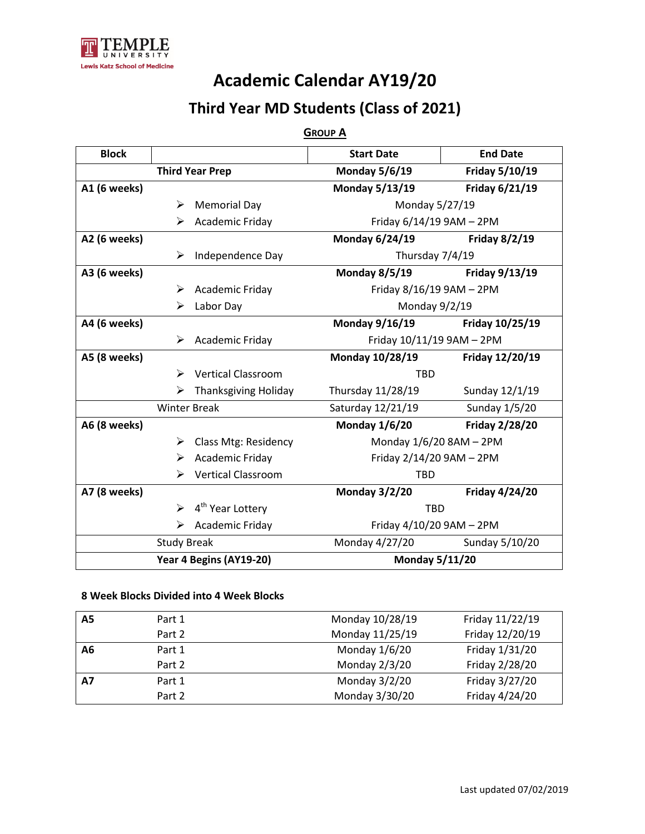

### **Third Year MD Students (Class of 2021)**

#### **GROUP A**

| <b>Block</b> |                     |                              | <b>Start Date</b>              | <b>End Date</b>       |
|--------------|---------------------|------------------------------|--------------------------------|-----------------------|
|              |                     | <b>Third Year Prep</b>       | <b>Monday 5/6/19</b>           | Friday 5/10/19        |
| A1 (6 weeks) |                     |                              | Monday 5/13/19                 | Friday 6/21/19        |
|              | ➤                   | <b>Memorial Day</b>          | Monday 5/27/19                 |                       |
|              | ⋗                   | Academic Friday              | Friday 6/14/19 9AM - 2PM       |                       |
| A2 (6 weeks) |                     |                              | <b>Monday 6/24/19</b>          | <b>Friday 8/2/19</b>  |
|              | ➤                   | Independence Day             | Thursday 7/4/19                |                       |
| A3 (6 weeks) |                     |                              | <b>Monday 8/5/19</b>           | Friday 9/13/19        |
|              | ➤                   | Academic Friday              | Friday 8/16/19 9AM - 2PM       |                       |
|              | ➤                   | Labor Day                    | Monday 9/2/19                  |                       |
| A4 (6 weeks) |                     |                              | Monday 9/16/19 Friday 10/25/19 |                       |
|              | ➤                   | Academic Friday              | Friday 10/11/19 9AM - 2PM      |                       |
| A5 (8 weeks) |                     |                              | <b>Monday 10/28/19</b>         | Friday 12/20/19       |
|              | ➤                   | <b>Vertical Classroom</b>    | <b>TBD</b>                     |                       |
|              | ⋗                   | <b>Thanksgiving Holiday</b>  | Thursday 11/28/19              | Sunday 12/1/19        |
|              | <b>Winter Break</b> |                              | Saturday 12/21/19              | Sunday 1/5/20         |
| A6 (8 weeks) |                     |                              | <b>Monday 1/6/20</b>           | <b>Friday 2/28/20</b> |
|              | ➤                   | Class Mtg: Residency         | Monday 1/6/20 8AM - 2PM        |                       |
|              | ➤                   | Academic Friday              | Friday 2/14/20 9AM - 2PM       |                       |
|              | ⋗                   | <b>Vertical Classroom</b>    | <b>TBD</b>                     |                       |
| A7 (8 weeks) |                     |                              | <b>Monday 3/2/20</b>           | <b>Friday 4/24/20</b> |
|              | ➤                   | 4 <sup>th</sup> Year Lottery | <b>TBD</b>                     |                       |
|              | ⋗                   | Academic Friday              | Friday 4/10/20 9AM - 2PM       |                       |
|              | <b>Study Break</b>  |                              | Monday 4/27/20                 | Sunday 5/10/20        |
|              |                     | Year 4 Begins (AY19-20)      | <b>Monday 5/11/20</b>          |                       |

#### **8 Week Blocks Divided into 4 Week Blocks**

| A5        | Part 1 | Monday 10/28/19 | Friday 11/22/19 |
|-----------|--------|-----------------|-----------------|
|           | Part 2 | Monday 11/25/19 | Friday 12/20/19 |
| A6        | Part 1 | Monday 1/6/20   | Friday 1/31/20  |
|           | Part 2 | Monday 2/3/20   | Friday 2/28/20  |
| <b>A7</b> | Part 1 | Monday 3/2/20   | Friday 3/27/20  |
|           | Part 2 | Monday 3/30/20  | Friday 4/24/20  |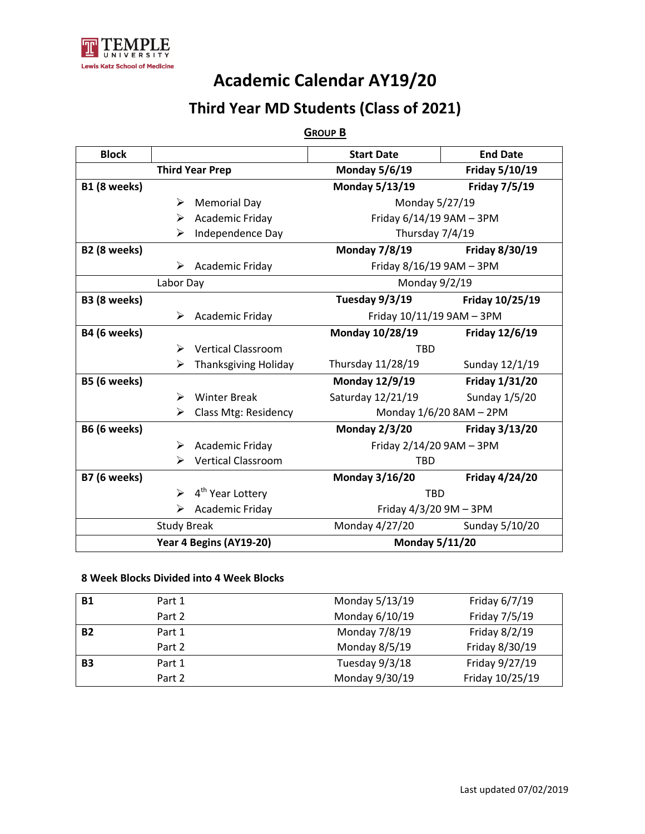

### **Third Year MD Students (Class of 2021)**

#### **GROUP B**

| <b>Block</b>            |                    |                                  | <b>Start Date</b>         | <b>End Date</b>       |
|-------------------------|--------------------|----------------------------------|---------------------------|-----------------------|
| <b>Third Year Prep</b>  |                    | <b>Monday 5/6/19</b>             | Friday 5/10/19            |                       |
| B1 (8 weeks)            |                    |                                  | <b>Monday 5/13/19</b>     | <b>Friday 7/5/19</b>  |
|                         | ➤                  | <b>Memorial Day</b>              | Monday 5/27/19            |                       |
|                         | ➤                  | Academic Friday                  | Friday 6/14/19 9AM - 3PM  |                       |
|                         | ⋗                  | Independence Day                 | Thursday 7/4/19           |                       |
| B2 (8 weeks)            |                    |                                  | <b>Monday 7/8/19</b>      | Friday 8/30/19        |
|                         |                    | $\triangleright$ Academic Friday | Friday 8/16/19 9AM - 3PM  |                       |
|                         | Labor Day          |                                  | Monday 9/2/19             |                       |
| B3 (8 weeks)            |                    |                                  | Tuesday $9/3/19$          | Friday 10/25/19       |
|                         | ➤                  | Academic Friday                  | Friday 10/11/19 9AM - 3PM |                       |
| B4 (6 weeks)            |                    |                                  | Monday 10/28/19           | Friday 12/6/19        |
|                         | ➤                  | <b>Vertical Classroom</b>        | <b>TBD</b>                |                       |
|                         | ➤                  | <b>Thanksgiving Holiday</b>      | Thursday 11/28/19         | Sunday 12/1/19        |
| B5 (6 weeks)            |                    |                                  | <b>Monday 12/9/19</b>     | Friday 1/31/20        |
|                         | ➤                  | <b>Winter Break</b>              | Saturday 12/21/19         | Sunday 1/5/20         |
|                         | ⋗                  | Class Mtg: Residency             | Monday 1/6/20 8AM - 2PM   |                       |
| <b>B6 (6 weeks)</b>     |                    |                                  | <b>Monday 2/3/20</b>      | Friday 3/13/20        |
|                         | ➤                  | Academic Friday                  | Friday 2/14/20 9AM - 3PM  |                       |
|                         | ⋗                  | <b>Vertical Classroom</b>        | <b>TBD</b>                |                       |
| <b>B7 (6 weeks)</b>     |                    |                                  | <b>Monday 3/16/20</b>     | <b>Friday 4/24/20</b> |
|                         | ↘                  | 4 <sup>th</sup> Year Lottery     | <b>TBD</b>                |                       |
| Academic Friday<br>⋗    |                    | Friday $4/3/20$ 9M $-$ 3PM       |                           |                       |
|                         | <b>Study Break</b> |                                  | Monday 4/27/20            | Sunday 5/10/20        |
| Year 4 Begins (AY19-20) |                    | <b>Monday 5/11/20</b>            |                           |                       |

#### **8 Week Blocks Divided into 4 Week Blocks**

| <b>B1</b> | Part 1 | Monday 5/13/19 | Friday 6/7/19   |
|-----------|--------|----------------|-----------------|
|           | Part 2 | Monday 6/10/19 | Friday 7/5/19   |
| <b>B2</b> | Part 1 | Monday 7/8/19  | Friday 8/2/19   |
|           | Part 2 | Monday 8/5/19  | Friday 8/30/19  |
| <b>B3</b> | Part 1 | Tuesday 9/3/18 | Friday 9/27/19  |
|           | Part 2 | Monday 9/30/19 | Friday 10/25/19 |